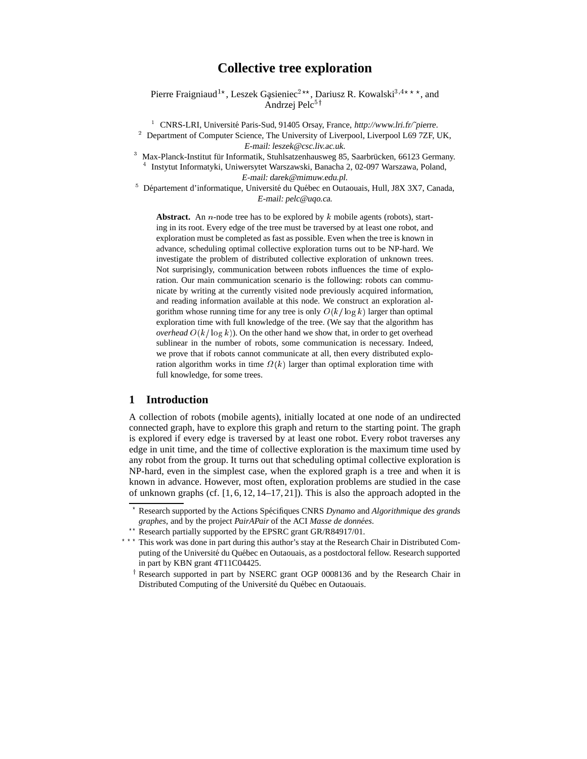# **Collective tree exploration**

Pierre Fraigniaud<sup>1\*</sup>, Leszek Gasieniec<sup>2\*\*</sup>, Dariusz R. Kowalski<sup>3,4\*</sup>\*\*, and Andrzej Pelc<sup>5†</sup>

<sup>1</sup> CNRS-LRI, Université Paris-Sud, 91405 Orsay, France, http://www.lri.fr/~pierre.

<sup>2</sup> Department of Computer Science, The University of Liverpool, Liverpool L69 7ZF, UK, E-mail: leszek@csc.liv.ac.uk.

Max-Planck-Institut für Informatik, Stuhlsatzenhausweg 85, Saarbrücken, 66123 Germany. Instytut Informatyki, Uniwersytet Warszawski, Banacha 2, 02-097 Warszawa, Poland, E-mail: darek@mimuw.edu.pl.

 $\sigma$  Département d'informatique, Université du Québec en Outaouais, Hull, J8X 3X7, Canada, E-mail: pelc@uqo.ca.

**Abstract.** An *n*-node tree has to be explored by  $k$  mobile agents (robots), starting in its root. Every edge of the tree must be traversed by at least one robot, and exploration must be completed as fast as possible. Even when the tree is known in advance, scheduling optimal collective exploration turns out to be NP-hard. We investigate the problem of distributed collective exploration of unknown trees. Not surprisingly, communication between robots influences the time of exploration. Our main communication scenario is the following: robots can communicate by writing at the currently visited node previously acquired information, and reading information available at this node. We construct an exploration algorithm whose running time for any tree is only  $O(k/\log k)$  larger than optimal exploration time with full knowledge of the tree. (We say that the algorithm has *overhead*  $O(k/\log k)$ . On the other hand we show that, in order to get overhead sublinear in the number of robots, some communication is necessary. Indeed, we prove that if robots cannot communicate at all, then every distributed exploration algorithm works in time  $\Omega(k)$  larger than optimal exploration time with full knowledge, for some trees.

## **1 Introduction**

A collection of robots (mobile agents), initially located at one node of an undirected connected graph, have to explore this graph and return to the starting point. The graph is explored if every edge is traversed by at least one robot. Every robot traverses any edge in unit time, and the time of collective exploration is the maximum time used by any robot from the group. It turns out that scheduling optimal collective exploration is NP-hard, even in the simplest case, when the explored graph is a tree and when it is known in advance. However, most often, exploration problems are studied in the case of unknown graphs (cf.  $[1, 6, 12, 14–17, 21]$ ). This is also the approach adopted in the

Research supported by the Actions Spécifiques CNRS *Dynamo* and *Algorithmique des grands graphes*, and by the project *PairAPair* of the ACI *Masse de donn´ees*.

Research partially supported by the EPSRC grant GR/R84917/01.

This work was done in part during this author's stay at the Research Chair in Distributed Computing of the Université du Québec en Outaouais, as a postdoctoral fellow. Research supported in part by KBN grant 4T11C04425.

<sup>&</sup>lt;sup>†</sup> Research supported in part by NSERC grant OGP 0008136 and by the Research Chair in Distributed Computing of the Université du Québec en Outaouais.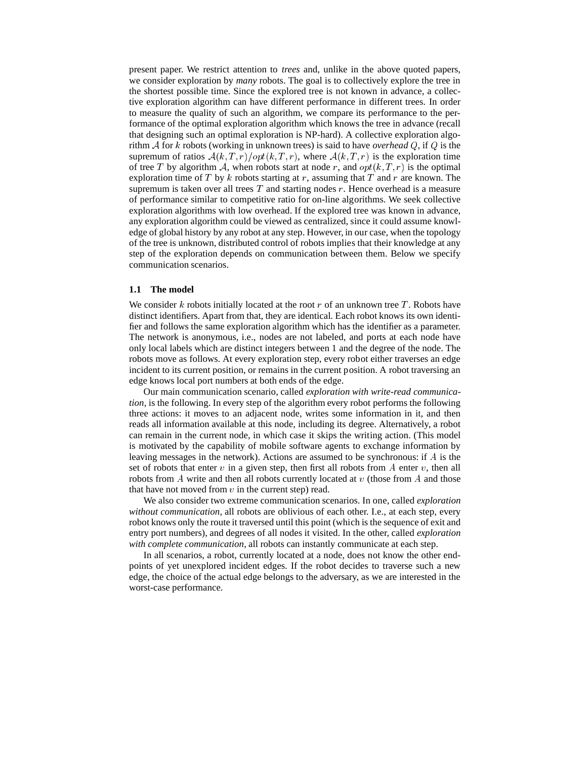present paper. We restrict attention to *trees* and, unlike in the above quoted papers, we consider exploration by *many* robots. The goal is to collectively explore the tree in the shortest possible time. Since the explored tree is not known in advance, a collective exploration algorithm can have different performance in different trees. In order to measure the quality of such an algorithm, we compare its performance to the performance of the optimal exploration algorithm which knows the tree in advance (recall that designing such an optimal exploration is NP-hard). A collective exploration algorithm <sup>A</sup> for k robots (working in unknown trees) is said to have *overhead* Q, if Q is the supremum of ratios  $A(k, T, r)/opt(k, T, r)$ , where  $A(k, T, r)$  is the exploration time of tree T by algorithm A, when robots start at node r, and  $opt(k, T, r)$  is the optimal exploration time of  $T$  by  $k$  robots starting at  $r$ , assuming that  $T$  and  $r$  are known. The supremum is taken over all trees  $T$  and starting nodes  $r$ . Hence overhead is a measure of performance similar to competitive ratio for on-line algorithms. We seek collective exploration algorithms with low overhead. If the explored tree was known in advance, any exploration algorithm could be viewed as centralized, since it could assume knowledge of global history by any robot at any step. However, in our case, when the topology of the tree is unknown, distributed control of robots implies that their knowledge at any step of the exploration depends on communication between them. Below we specify communication scenarios.

#### **1.1 The model**

We consider  $k$  robots initially located at the root  $r$  of an unknown tree  $T$ . Robots have distinct identifiers. Apart from that, they are identical. Each robot knows its own identifier and follows the same exploration algorithm which has the identifier as a parameter. The network is anonymous, i.e., nodes are not labeled, and ports at each node have only local labels which are distinct integers between 1 and the degree of the node. The robots move as follows. At every exploration step, every robot either traverses an edge incident to its current position, or remains in the current position. A robot traversing an edge knows local port numbers at both ends of the edge.

Our main communication scenario, called *exploration with write-read communication*, is the following. In every step of the algorithm every robot performs the following three actions: it moves to an adjacent node, writes some information in it, and then reads all information available at this node, including its degree. Alternatively, a robot can remain in the current node, in which case it skips the writing action. (This model is motivated by the capability of mobile software agents to exchange information by leaving messages in the network). Actions are assumed to be synchronous: if A is the set of robots that enter  $v$  in a given step, then first all robots from A enter  $v$ , then all robots from  $A$  write and then all robots currently located at  $v$  (those from  $A$  and those that have not moved from  $v$  in the current step) read.

We also consider two extreme communication scenarios. In one, called *exploration without communication*, all robots are oblivious of each other. I.e., at each step, every robot knows only the route it traversed until this point (which is the sequence of exit and entry port numbers), and degrees of all nodes it visited. In the other, called *exploration with complete communication*, all robots can instantly communicate at each step.

In all scenarios, a robot, currently located at a node, does not know the other endpoints of yet unexplored incident edges. If the robot decides to traverse such a new edge, the choice of the actual edge belongs to the adversary, as we are interested in the worst-case performance.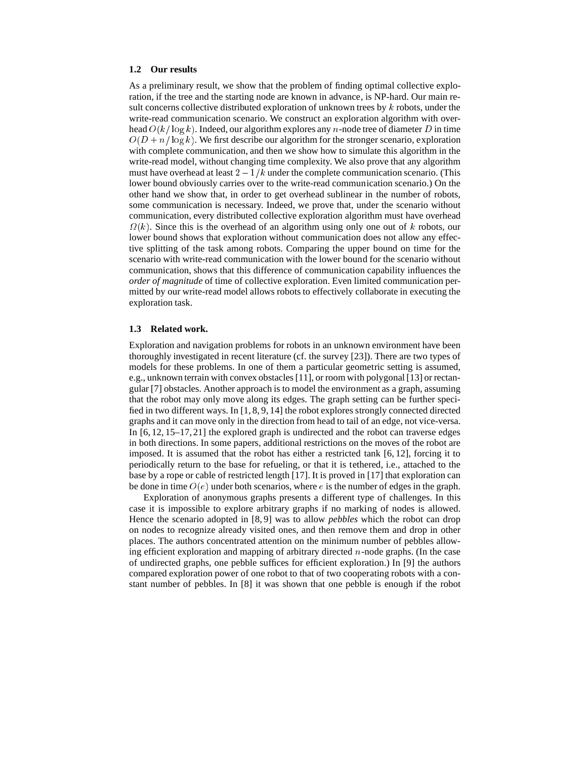### **1.2 Our results**

As a preliminary result, we show that the problem of finding optimal collective exploration, if the tree and the starting node are known in advance, is NP-hard. Our main result concerns collective distributed exploration of unknown trees by  $k$  robots, under the write-read communication scenario. We construct an exploration algorithm with overhead  $O(k/\log k)$ . Indeed, our algorithm explores any n-node tree of diameter D in time  $O(D + n/\log k)$ . We first describe our algorithm for the stronger scenario, exploration with complete communication, and then we show how to simulate this algorithm in the write-read model, without changing time complexity. We also prove that any algorithm must have overhead at least  $2-1/k$  under the complete communication scenario. (This lower bound obviously carries over to the write-read communication scenario.) On the other hand we show that, in order to get overhead sublinear in the number of robots, some communication is necessary. Indeed, we prove that, under the scenario without communication, every distributed collective exploration algorithm must have overhead  $\Omega(k)$ . Since this is the overhead of an algorithm using only one out of k robots, our lower bound shows that exploration without communication does not allow any effective splitting of the task among robots. Comparing the upper bound on time for the scenario with write-read communication with the lower bound for the scenario without communication, shows that this difference of communication capability influences the *order of magnitude* of time of collective exploration. Even limited communication permitted by our write-read model allows robots to effectively collaborate in executing the exploration task.

#### **1.3 Related work.**

Exploration and navigation problems for robots in an unknown environment have been thoroughly investigated in recent literature (cf. the survey [23]). There are two types of models for these problems. In one of them a particular geometric setting is assumed, e.g., unknown terrain with convex obstacles [11], or room with polygonal [13] or rectangular [7] obstacles. Another approach is to model the environment as a graph, assuming that the robot may only move along its edges. The graph setting can be further specified in two different ways. In [1, 8, 9, 14] the robot explores strongly connected directed graphs and it can move only in the direction from head to tail of an edge, not vice-versa. In [6, 12, 15–17, 21] the explored graph is undirected and the robot can traverse edges in both directions. In some papers, additional restrictions on the moves of the robot are imposed. It is assumed that the robot has either a restricted tank [6, 12], forcing it to periodically return to the base for refueling, or that it is tethered, i.e., attached to the base by a rope or cable of restricted length [17]. It is proved in [17] that exploration can be done in time  $O(e)$  under both scenarios, where e is the number of edges in the graph.

Exploration of anonymous graphs presents a different type of challenges. In this case it is impossible to explore arbitrary graphs if no marking of nodes is allowed. Hence the scenario adopted in [8, 9] was to allow *pebbles* which the robot can drop on nodes to recognize already visited ones, and then remove them and drop in other places. The authors concentrated attention on the minimum number of pebbles allowing efficient exploration and mapping of arbitrary directed  $n$ -node graphs. (In the case of undirected graphs, one pebble suffices for efficient exploration.) In [9] the authors compared exploration power of one robot to that of two cooperating robots with a constant number of pebbles. In [8] it was shown that one pebble is enough if the robot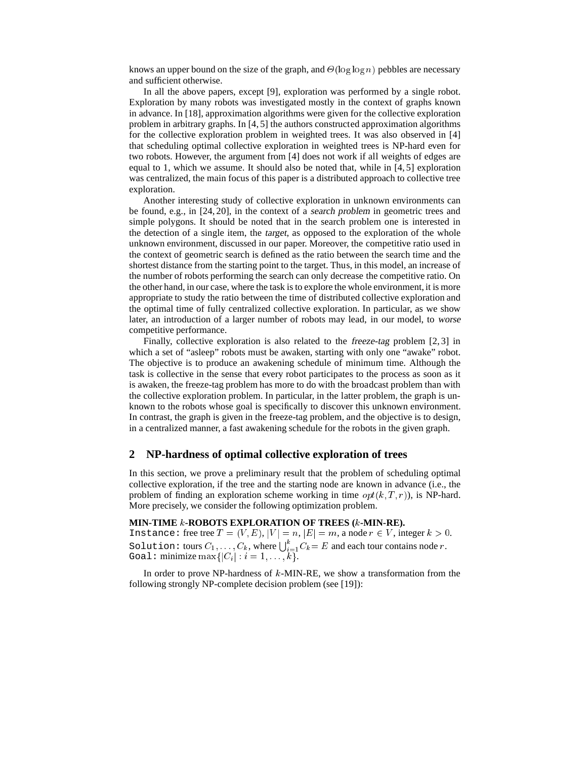knows an upper bound on the size of the graph, and  $\Theta(\log\log n)$  pebbles are necessary and sufficient otherwise.

In all the above papers, except [9], exploration was performed by a single robot. Exploration by many robots was investigated mostly in the context of graphs known in advance. In [18], approximation algorithms were given for the collective exploration problem in arbitrary graphs. In [4, 5] the authors constructed approximation algorithms for the collective exploration problem in weighted trees. It was also observed in [4] that scheduling optimal collective exploration in weighted trees is NP-hard even for two robots. However, the argument from [4] does not work if all weights of edges are equal to 1, which we assume. It should also be noted that, while in [4, 5] exploration was centralized, the main focus of this paper is a distributed approach to collective tree exploration.

Another interesting study of collective exploration in unknown environments can be found, e.g., in [24, 20], in the context of a search problem in geometric trees and simple polygons. It should be noted that in the search problem one is interested in the detection of a single item, the target, as opposed to the exploration of the whole unknown environment, discussed in our paper. Moreover, the competitive ratio used in the context of geometric search is defined as the ratio between the search time and the shortest distance from the starting point to the target. Thus, in this model, an increase of the number of robots performing the search can only decrease the competitive ratio. On the other hand, in our case, where the task is to explore the whole environment, it is more appropriate to study the ratio between the time of distributed collective exploration and the optimal time of fully centralized collective exploration. In particular, as we show later, an introduction of a larger number of robots may lead, in our model, to worse competitive performance.

Finally, collective exploration is also related to the freeze-tag problem [2, 3] in which a set of "asleep" robots must be awaken, starting with only one "awake" robot. The objective is to produce an awakening schedule of minimum time. Although the task is collective in the sense that every robot participates to the process as soon as it is awaken, the freeze-tag problem has more to do with the broadcast problem than with the collective exploration problem. In particular, in the latter problem, the graph is unknown to the robots whose goal is specifically to discover this unknown environment. In contrast, the graph is given in the freeze-tag problem, and the objective is to design, in a centralized manner, a fast awakening schedule for the robots in the given graph.

## **2 NP-hardness of optimal collective exploration of trees**

In this section, we prove a preliminary result that the problem of scheduling optimal collective exploration, if the tree and the starting node are known in advance (i.e., the problem of finding an exploration scheme working in time  $opt(k, T, r)$ ), is NP-hard. More precisely, we consider the following optimization problem.

#### **MIN-TIME** k**-ROBOTS EXPLORATION OF TREES (**k**-MIN-RE).**

Instance: free tree  $T = (V, E), |V| = n, |E| = m$ , a node  $r \in V$ , integer  $k > 0$ . Solution: tours  $C_1, \ldots, C_k$ , where  $\bigcup_{i=1}^k C_k = E$  and each tour contains node r. Goal: minimize  $\max\{|C_i| : i = 1, \ldots, k\}.$ 

In order to prove NP-hardness of  $k$ -MIN-RE, we show a transformation from the following strongly NP-complete decision problem (see [19]):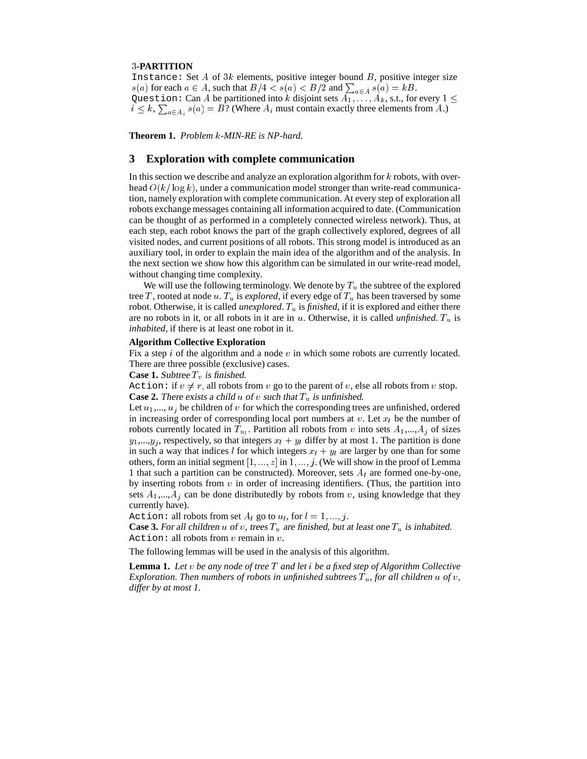#### <sup>3</sup>**-PARTITION**

Instance: Set  $A$  of  $3k$  elements, positive integer bound  $B$ , positive integer size  $s(a)$  for each  $a \in A$ , such that  $B/4 < s(a) < B/2$  and  $\sum_{a \in A} s(a) = kB$ . Question: Can A be partitioned into k disjoint sets  $A_1, \ldots, A_k$ , s.t., for every  $1 \leq$  $i \leq k$ ,  $\sum_{a \in A_i} s(a) = B$ ? (Where  $A_i$  must contain exactly three elements from A.)

**Theorem 1.** *Problem* k*-MIN-RE is NP-hard.*

## **3 Exploration with complete communication**

In this section we describe and analyze an exploration algorithm for  $k$  robots, with overhead  $O(k/\log k)$ , under a communication model stronger than write-read communication, namely exploration with complete communication. At every step of exploration all robots exchange messages containing all information acquired to date. (Communication can be thought of as performed in a completely connected wireless network). Thus, at each step, each robot knows the part of the graph collectively explored, degrees of all visited nodes, and current positions of all robots. This strong model is introduced as an auxiliary tool, in order to explain the main idea of the algorithm and of the analysis. In the next section we show how this algorithm can be simulated in our write-read model, without changing time complexity.

We will use the following terminology. We denote by  $T_u$  the subtree of the explored tree T, rooted at node u.  $T_u$  is *explored*, if every edge of  $T_u$  has been traversed by some robot. Otherwise, it is called *unexplored*.  $T_u$  is *finished*, if it is explored and either there are no robots in it, or all robots in it are in u. Otherwise, it is called *unfinished*.  $T_u$  is *inhabited*, if there is at least one robot in it.

#### **Algorithm Collective Exploration**

Fix a step  $i$  of the algorithm and a node  $v$  in which some robots are currently located. There are three possible (exclusive) cases.

**Case 1.** Subtree  $T_v$  is finished.

Action: if  $v \neq r$ , all robots from v go to the parent of v, else all robots from v stop. **Case 2.** There exists a child u of v such that  $T_u$  is unfinished.

Let  $u_1,..., u_j$  be children of v for which the corresponding trees are unfinished, ordered in increasing order of corresponding local port numbers at v. Let  $x_l$  be the number of robots currently located in  $T_{u_1}$ . Partition all robots from v into sets  $A_1, ..., A_j$  of sizes  $y_1,...,y_j$ , respectively, so that integers  $x_l + y_l$  differ by at most 1. The partition is done in such a way that indices l for which integers  $x_l + y_l$  are larger by one than for some others, form an initial segment  $[1, ..., z]$  in  $1, ..., j$ . (We will show in the proof of Lemma 1 that such a partition can be constructed). Moreover, sets  $A_l$  are formed one-by-one, by inserting robots from  $v$  in order of increasing identifiers. (Thus, the partition into sets  $A_1,...,A_j$  can be done distributedly by robots from v, using knowledge that they currently have).

Action: all robots from set  $A_l$  go to  $u_l$ , for  $l = 1, ..., j$ .

**Case 3.** For all children u of v, trees  $T_u$  are finished, but at least one  $T_u$  is inhabited. Action: all robots from  $v$  remain in  $v$ .

The following lemmas will be used in the analysis of this algorithm.

**Lemma 1.** *Let* <sup>v</sup> *be any node of tree* <sup>T</sup> *and let* <sup>i</sup> *be a fixed step of Algorithm Collective Exploration. Then numbers of robots in unfinished subtrees*  $T_u$ , for all children u of v, *differ by at most 1.*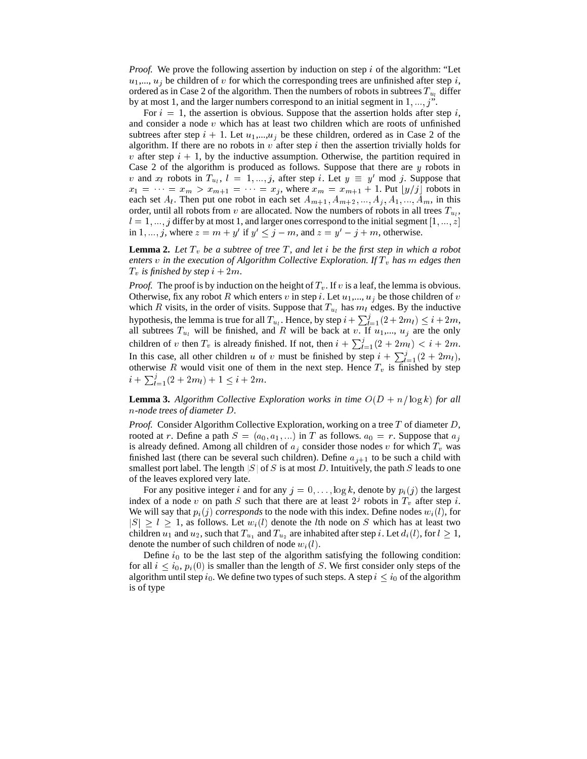*Proof.* We prove the following assertion by induction on step i of the algorithm: "Let  $u_1,..., u_i$  be children of v for which the corresponding trees are unfinished after step i, ordered as in Case 2 of the algorithm. Then the numbers of robots in subtrees  $T_{u_l}$  differ by at most 1, and the larger numbers correspond to an initial segment in  $1, \ldots, j$ ".

For  $i = 1$ , the assertion is obvious. Suppose that the assertion holds after step i, and consider a node  $v$  which has at least two children which are roots of unfinished subtrees after step  $i + 1$ . Let  $u_1, ..., u_j$  be these children, ordered as in Case 2 of the algorithm. If there are no robots in v after step i then the assertion trivially holds for v after step  $i + 1$ , by the inductive assumption. Otherwise, the partition required in Case 2 of the algorithm is produced as follows. Suppose that there are  $y$  robots in v and  $x_l$  robots in  $T_{u_l}$ ,  $l = 1, ..., j$ , after step i. Let  $y \equiv y'$  mod j. Suppose that  $x_1 = \cdots = x_m > x_{m+1} = \cdots = x_j$ , where  $x_m = x_{m+1} + 1$ . Put  $\lfloor y/j \rfloor$  robots in each set  $A_l$ . Then put one robot in each set  $A_{m+1}, A_{m+2},..., A_j, A_1,..., A_m$ , in this order, until all robots from v are allocated. Now the numbers of robots in all trees  $T_{u_i}$ ,  $l = 1, ..., j$  differ by at most 1, and larger ones correspond to the initial segment  $[1, ..., z]$ in 1, ..., j, where  $z = m + y'$  if  $y' \le j - m$ , and  $z = y' - j + m$ , otherwise.

**Lemma 2.** Let  $T_v$  be a subtree of tree T, and let i be the first step in which a robot *enters* v in the execution of Algorithm Collective Exploration. If  $T<sub>v</sub>$  has m edges then  $T_v$  *is finished by step*  $i + 2m$ *.* 

*Proof.* The proof is by induction on the height of  $T_v$ . If v is a leaf, the lemma is obvious. Otherwise, fix any robot R which enters v in step i. Let  $u_1, ..., u_j$  be those children of v which R visits, in the order of visits. Suppose that  $T_{u_l}$  has  $m_l$  edges. By the inductive hypothesis, the lemma is true for all  $T_{u_l}$ . Hence, by step  $i + \sum_{l=1}^{j} (2 + 2m_l) \leq i + 2m$ , all subtrees  $T_{u_l}$  will be finished, and R will be back at v. If  $u_1,..., u_j$  are the only children of v then  $T_v$  is already finished. If not, then  $i + \sum_{l=1}^{j} (2 + 2m_l) < i + 2m$ . In this case, all other children u of v must be finished by step  $i + \sum_{l=1}^{j} (2 + 2m_l)$ , otherwise R would visit one of them in the next step. Hence  $T_v$  is finished by step  $i + \sum_{l=1}^{j} (2 + 2m_l) + 1 \leq i + 2m.$ 

**Lemma 3.** *Algorithm Collective Exploration works in time*  $O(D + n/\log k)$  *for all* <sup>n</sup>*-node trees of diameter* <sup>D</sup>*.*

*Proof.* Consider Algorithm Collective Exploration, working on a tree T of diameter D, rooted at r. Define a path  $S = (a_0, a_1, \ldots)$  in T as follows.  $a_0 = r$ . Suppose that  $a_j$ is already defined. Among all children of  $a_i$  consider those nodes v for which  $T_v$  was finished last (there can be several such children). Define  $a_{j+1}$  to be such a child with smallest port label. The length  $|S|$  of S is at most D. Intuitively, the path S leads to one of the leaves explored very late.

For any positive integer i and for any  $j = 0, \ldots, \log k$ , denote by  $p_i(j)$  the largest index of a node v on path S such that there are at least  $2<sup>j</sup>$  robots in  $T_v$  after step i. We will say that  $p_i(j)$  *corresponds* to the node with this index. Define nodes  $w_i(l)$ , for  $|S| > l > 1$ , as follows. Let  $w_i(l)$  denote the lth node on S which has at least two children  $u_1$  and  $u_2$ , such that  $T_{u_1}$  and  $T_{u_2}$  are inhabited after step i. Let  $d_i(l)$ , for  $l \geq 1$ , denote the number of such children of node  $w_i(l)$ .

Define  $i_0$  to be the last step of the algorithm satisfying the following condition: for all  $i \leq i_0$ ,  $p_i(0)$  is smaller than the length of S. We first consider only steps of the algorithm until step  $i_0$ . We define two types of such steps. A step  $i \leq i_0$  of the algorithm is of type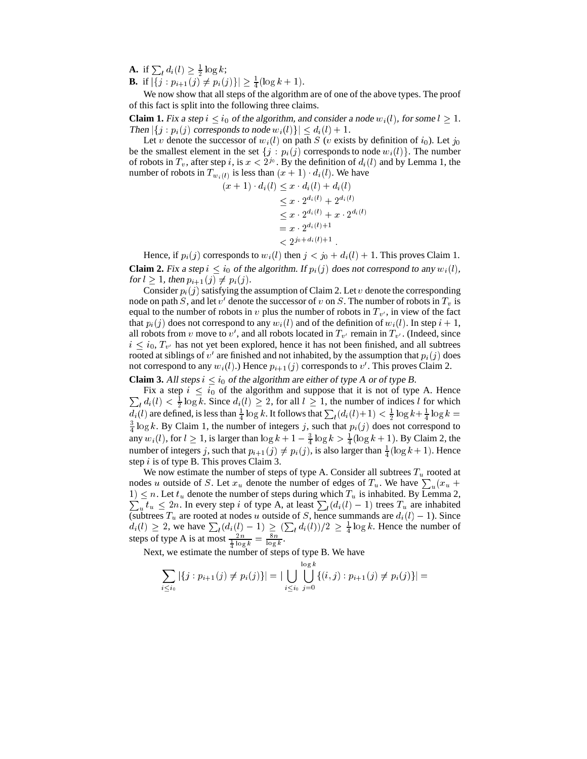**A.** if  $\sum_l d_i(l) \geq \frac{1}{2} \log k$ ;

**B.** if  $|\{j : p_{i+1}(j) \neq p_i(j)\}| \geq \frac{1}{4}(\log k + 1)$ .

We now show that all steps of the algorithm are of one of the above types. The proof of this fact is split into the following three claims.

**Claim 1.** Fix a step  $i \leq i_0$  of the algorithm, and consider a node  $w_i(l)$ , for some  $l \geq 1$ . Then  $|\{j : p_i(j) \text{ corresponds to node } w_i(l)\}| \leq d_i(l) + 1.$ 

Let v denote the successor of  $w_i(l)$  on path S (v exists by definition of  $i_0$ ). Let  $j_0$ be the smallest element in the set  $\{j : p_i(j) \text{ corresponds to node } w_i(l)\}.$  The number of robots in  $T_v$ , after step i, is  $x < 2^{j_0}$ . By the definition of  $d_i(l)$  and by Lemma 1, the number of robots in  $T_{w_i(l)}$  is less than  $(x + 1) \cdot d_i(l)$ . We have

$$
(x+1) \cdot d_i(l) \leq x \cdot d_i(l) + d_i(l)
$$
  
\n
$$
\leq x \cdot 2^{d_i(l)} + 2^{d_i(l)}
$$
  
\n
$$
\leq x \cdot 2^{d_i(l)} + x \cdot 2^{d_i(l)}
$$
  
\n
$$
= x \cdot 2^{d_i(l)+1}
$$
  
\n
$$
< 2^{j_0+d_i(l)+1}
$$

Hence, if  $p_i(j)$  corresponds to  $w_i(l)$  then  $j < j_0 + d_i(l) + 1$ . This proves Claim 1. **Claim 2.** Fix a step  $i \leq i_0$  of the algorithm. If  $p_i(j)$  does not correspond to any  $w_i(l)$ , for  $l \geq 1$ , then  $p_{i+1}(j) \neq p_i(j)$ .

Consider  $p_i(j)$  satisfying the assumption of Claim 2. Let v denote the corresponding node on path S, and let  $v'$  denote the successor of v on S. The number of robots in  $T_v$  is equal to the number of robots in v plus the number of robots in  $T_{v}$ , in view of the fact that  $p_i(j)$  does not correspond to any  $w_i(l)$  and of the definition of  $w_i(l)$ . In step  $i + 1$ , all robots from v move to v', and all robots located in  $T_{v'}$  remain in  $T_{v'}$ . (Indeed, since  $i \leq i_0, T_{v'}$  has not yet been explored, hence it has not been finished, and all subtrees rooted at siblings of  $v'$  are finished and not inhabited, by the assumption that  $p_i(j)$  does not correspond to any  $w_i(l)$ .) Hence  $p_{i+1}(j)$  corresponds to  $v'$ . This proves Claim 2.

**Claim 3.** All steps  $i \leq i_0$  of the algorithm are either of type A or of type B.

 $\sum_l d_i(l) < \frac{1}{2} \log k$ . Since  $d_i(l) \geq 2$ , for all  $l \geq 1$ , the number of indices l for which Fix a step  $i \leq i_0$  of the algorithm and suppose that it is not of type A. Hence  $d_i(l)$  are defined, is less than  $\frac{1}{4} \log k$ . It follows that  $\sum_l (d_i(l)+1) < \frac{1}{2} \log k + \frac{1}{4} \log k =$  $\frac{3}{4}$  log k. By Claim 1, the number of integers j, such that  $p_i(j)$  does not correspond to any  $w_i(l)$ , for  $l \ge 1$ , is larger than  $\log k + 1 - \frac{3}{4} \log k > \frac{1}{4} (\log k + 1)$ . By Claim 2, the number of integers j, such that  $p_{i+1}(j) \neq p_i(j)$ , is also larger than  $\frac{1}{4}(\log k + 1)$ . Hence step  $i$  is of type B. This proves Claim 3.

We now estimate the number of steps of type A. Consider all subtrees  $T_u$  rooted at nodes u outside of S. Let  $x_u$  denote the number of edges of  $T_u$ . We have  $\sum_u (x_u +$  $1) \leq n$ . Let  $t_u$  denote the number of steps during which  $T_u$  is inhabited. By Lemma 2,  $\sum_{u} t_u \leq 2n$ . In every step i of type A, at least  $\sum_{l} (d_i(l) - 1)$  trees  $T_u$  are inhabited (subtrees  $T_u$  are rooted at nodes u outside of S, hence summands are  $d_i(l) - 1$ ). Since  $d_i(l) \geq 2$ , we have  $\sum_l (d_i(l) - 1) \geq (\sum_l d_i(l))/2 \geq \frac{1}{4} \log k$ . Hence the number of steps of type A is at most  $\frac{2n}{\frac{1}{4} \log k} = \frac{8n}{\log k}$ .

Next, we estimate the number of steps of type B. We have

$$
\sum_{i \leq i_0} |\{j : p_{i+1}(j) \neq p_i(j)\}| = |\bigcup_{i \leq i_0} \bigcup_{j=0}^{\log k} \{ (i,j) : p_{i+1}(j) \neq p_i(j) \}| =
$$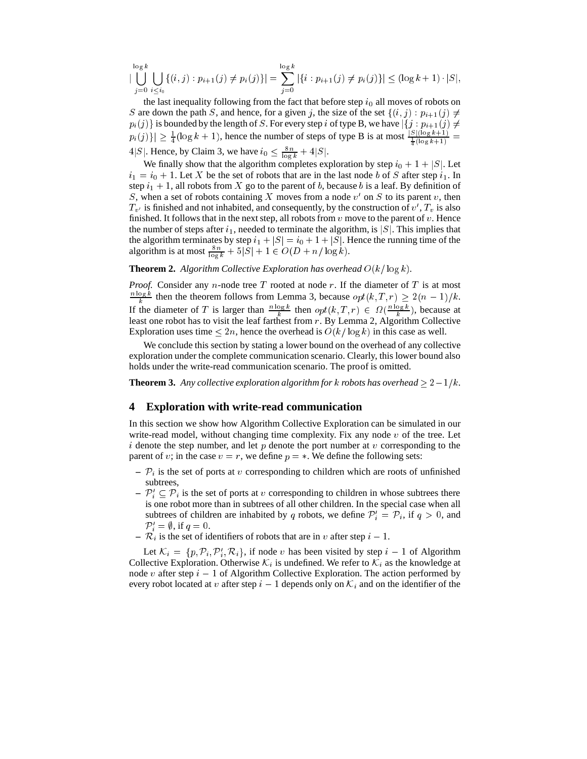$$
\big|\bigcup_{j=0}^{\log k} \bigcup_{i \leq i_0} \{(i,j) : p_{i+1}(j) \neq p_i(j)\}\big| = \sum_{j=0}^{\log k} |\{i : p_{i+1}(j) \neq p_i(j)\}\| \leq (\log k + 1) \cdot |S|,
$$

the last inequality following from the fact that before step  $i_0$  all moves of robots on S are down the path S, and hence, for a given j, the size of the set  $\{(i, j) : p_{i+1}(j) \neq j\}$  $p_i(j)$  is bounded by the length of S. For every step i of type B, we have  $\left| \{ j : p_{i+1}(j) \neq j \} \right|$  $|p_i(j)\rangle \geq \frac{1}{4}(\log k + 1)$ , hence the number of steps of type B is at most  $\frac{|S|(\log k + 1)}{\frac{1}{4}(\log k + 1)}$ 4|S|. Hence, by Claim 3, we have  $i_0 \le \frac{8n}{\log k} + 4|S|$ .

We finally show that the algorithm completes exploration by step  $i_0 + 1 + |S|$ . Let  $i_1 = i_0 + 1$ . Let X be the set of robots that are in the last node b of S after step  $i_1$ . In step  $i_1 + 1$ , all robots from X go to the parent of b, because b is a leaf. By definition of S, when a set of robots containing X moves from a node  $v'$  on S to its parent v, then  $T_{v'}$  is finished and not inhabited, and consequently, by the construction of  $v', T_v$  is also finished. It follows that in the next step, all robots from  $v$  move to the parent of  $v$ . Hence the number of steps after  $i_1$ , needed to terminate the algorithm, is  $|S|$ . This implies that the algorithm terminates by step  $i_1 + |S| = i_0 + 1 + |S|$ . Hence the running time of the algorithm is at most  $\frac{8n}{\log k} + 5|S| + 1 \in O(D + n/\log k)$ .

## **Theorem 2.** *Algorithm Collective Exploration has overhead*  $O(k/\log k)$ *.*

*Proof.* Consider any *n*-node tree  $T$  rooted at node  $r$ . If the diameter of  $T$  is at most  $\frac{n \log k}{k}$  then the theorem follows from Lemma 3, because  $opt(k, T, r) \geq 2(n - 1)/k$ . If the diameter of T is larger than  $\frac{n \log k}{k}$  then  $opt(k, T, r) \in \Omega(\frac{n \log k}{k})$ , because at least one robot has to visit the leaf farthest from  $r$ . By Lemma 2, Algorithm Collective Exploration uses time  $\leq 2n$ , hence the overhead is  $O(k/\log k)$  in this case as well.

We conclude this section by stating a lower bound on the overhead of any collective exploration under the complete communication scenario. Clearly, this lower bound also holds under the write-read communication scenario. The proof is omitted.

**Theorem 3.** Any collective exploration algorithm for k robots has overhead  $\geq 2-1/k$ .

## **4 Exploration with write-read communication**

In this section we show how Algorithm Collective Exploration can be simulated in our write-read model, without changing time complexity. Fix any node  $v$  of the tree. Let i denote the step number, and let p denote the port number at v corresponding to the parent of v; in the case  $v = r$ , we define  $p = *$ . We define the following sets:

- $\mathcal{P}_i$  is the set of ports at v corresponding to children which are roots of unfinished subtrees,
- $P_i' \subseteq P_i$  is the set of ports at v corresponding to children in whose subtrees there is one robot more than in subtrees of all other children. In the special case when all subtrees of children are inhabited by q robots, we define  $\mathcal{P}'_i = \mathcal{P}_i$ , if  $q > 0$ , and  ${\cal P}'_i = \emptyset$ , if  $q = 0$ .
- $\mathcal{R}_i$  is the set of identifiers of robots that are in v after step  $i 1$ .

Let  $\mathcal{K}_i = \{p, \mathcal{P}_i, \mathcal{P}'_i, \mathcal{R}_i\}$ , if node v has been visited by step  $i - 1$  of Algorithm Collective Exploration. Otherwise  $\mathcal{K}_i$  is undefined. We refer to  $\mathcal{K}_i$  as the knowledge at node v after step  $i - 1$  of Algorithm Collective Exploration. The action performed by every robot located at v after step  $i - 1$  depends only on  $\mathcal{K}_i$  and on the identifier of the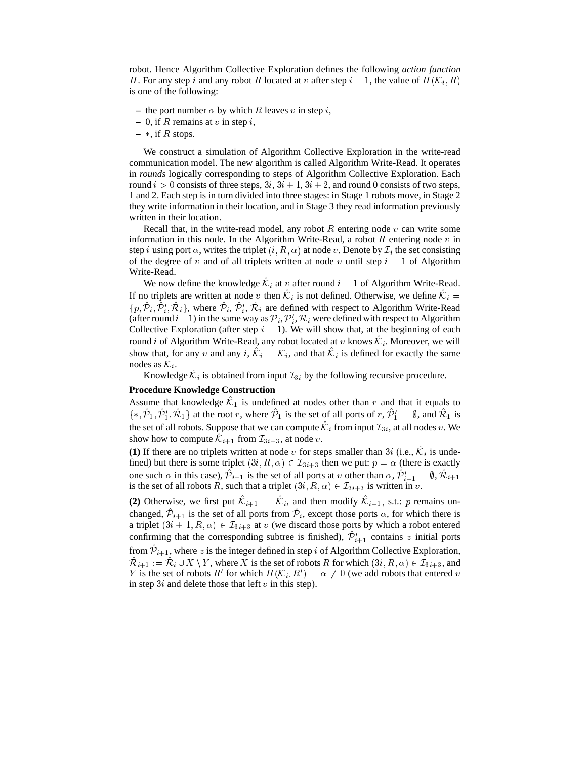robot. Hence Algorithm Collective Exploration defines the following *action function* H. For any step i and any robot R located at v after step  $i - 1$ , the value of  $H(\mathcal{K}_i, R)$ is one of the following:

- the port number  $\alpha$  by which R leaves v in step i,
- $-$  0, if R remains at v in step i,
- $-$  \*, if R stops.

We construct a simulation of Algorithm Collective Exploration in the write-read communication model. The new algorithm is called Algorithm Write-Read. It operates in *rounds* logically corresponding to steps of Algorithm Collective Exploration. Each round  $i > 0$  consists of three steps,  $3i$ ,  $3i + 1$ ,  $3i + 2$ , and round 0 consists of two steps, 1 and 2. Each step is in turn divided into three stages: in Stage 1 robots move, in Stage 2 they write information in their location, and in Stage 3 they read information previously written in their location.

Recall that, in the write-read model, any robot  $R$  entering node  $v$  can write some information in this node. In the Algorithm Write-Read, a robot R entering node  $v$  in step i using port  $\alpha$ , writes the triplet  $(i, R, \alpha)$  at node v. Denote by  $\mathcal{I}_i$  the set consisting of the degree of v and of all triplets written at node v until step  $i - 1$  of Algorithm Write-Read.

We now define the knowledge  $\mathcal{K}_i$  at v after round  $i - 1$  of Algorithm Write-Read. If no triplets are written at node v then  $\mathcal{K}_i$  is not defined. Otherwise, we define  $\mathcal{K}_i =$  $\{p, \mathcal{P}_i, \mathcal{P}'_i, \mathcal{R}_i\}$ , where  $\mathcal{P}_i$ ,  $\mathcal{P}'_i$ ,  $\mathcal{R}_i$  are defined with respect to Algorithm Write-Read (after round  $i-1$ ) in the same way as  $\mathcal{P}_i$ ,  $\mathcal{P}'_i$ ,  $\mathcal{R}_i$  were defined with respect to Algorithm Collective Exploration (after step  $i - 1$ ). We will show that, at the beginning of each round *i* of Algorithm Write-Read, any robot located at *v* knows  $\mathcal{K}_i$ . Moreover, we will show that, for any v and any i,  $\mathcal{K}_i = \mathcal{K}_i$ , and that  $\mathcal{K}_i$  is defined for exactly the same nodes as  $\mathcal{K}_i$ .

Knowledge  $\mathcal{K}_i$  is obtained from input  $\mathcal{I}_{3i}$  by the following recursive procedure.

### **Procedure Knowledge Construction**

Assume that knowledge  $\mathcal{K}_1$  is undefined at nodes other than r and that it equals to  $\{*, \overline{P}_1, \overline{P}'_1, \overline{\mathcal{R}}_1\}$  at the root r, where  $\overline{P}_1$  is the set of all ports of r,  $\overline{P}'_1 = \emptyset$ , and  $\overline{\mathcal{R}}_1$  is  $\overline{\phantom{a}}$ the set of all robots. Suppose that we can compute  $\mathcal{K}_i$  from input  $\mathcal{I}_{3i}$ , at all nodes v. We show how to compute  $\mathcal{K}_{i+1}$  from  $\mathcal{I}_{3i+3}$ , at node v.

(1) If there are no triplets written at node v for steps smaller than  $3i$  (i.e.,  $\mathcal{K}_i$  is undefined) but there is some triplet  $(3i, R, \alpha) \in \mathcal{I}_{3i+3}$  then we put:  $p = \alpha$  (there is exactly one such  $\alpha$  in this case),  $\mathcal{P}_{i+1}$  is the set of all ports at v other than  $\alpha$ ,  $\mathcal{P}'_{i+1} = \emptyset$ ,  $\mathcal{R}_{i+1}$ is the set of all robots R, such that a triplet  $(3i, R, \alpha) \in \mathcal{I}_{3i+3}$  is written in v.

(2) Otherwise, we first put  $\mathcal{K}_{i+1} = \mathcal{K}_i$ , and then modify  $\mathcal{K}_{i+1}$ , s.t.: p remains unchanged,  $\mathcal{P}_{i+1}$  is the set of all ports from  $\mathcal{P}_i$ , except those ports  $\alpha$ , for which there is a triplet  $(3i + 1, R, \alpha) \in \mathcal{I}_{3i+3}$  at v (we discard those ports by which a robot entered confirming that the corresponding subtree is finished),  $\mathcal{P}'_{i+1}$  contains z initial ports from  $\mathcal{P}_{i+1}$ , where z is the integer defined in step i of Algorithm Collective Exploration,  $\mathcal{R}_{i+1} := \mathcal{R}_i \cup X \setminus Y$ , where X is the set of robots R for which  $(3i, R, \alpha) \in \mathcal{I}_{3i+3}$ , and Y is the set of robots R' for which  $H(\mathcal{K}_i, R') = \alpha \neq 0$  (we add robots that entered v in step  $3i$  and delete those that left v in this step).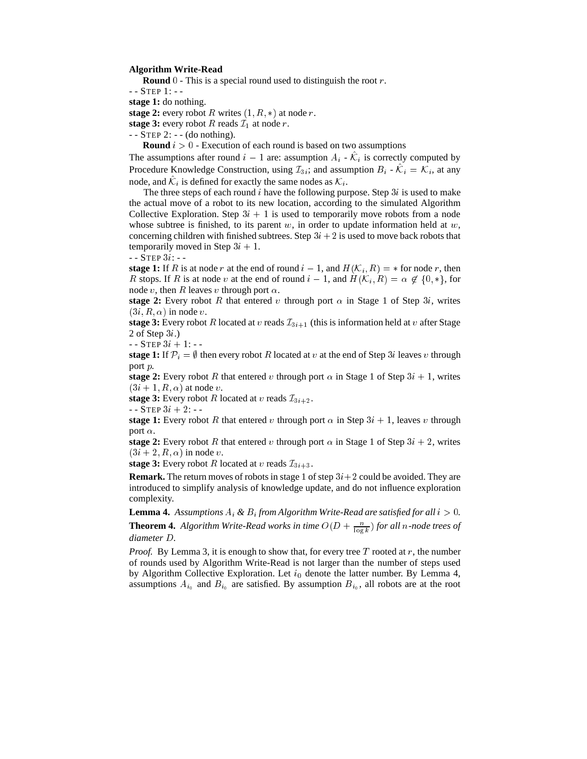#### **Algorithm Write-Read**

**Round** 0 - This is a special round used to distinguish the root r.

- - STEP 1: - -

**stage 1:** do nothing.

**stage 2:** every robot R writes  $(1, R, *)$  at node r.

**stage 3:** every robot R reads  $\mathcal{I}_1$  at node r.

- - STEP 2: - - (do nothing).

**Round**  $i > 0$  - Execution of each round is based on two assumptions

The assumptions after round  $i - 1$  are: assumption  $A_i$  -  $K_i$  is correctly computed by Procedure Knowledge Construction, using  $\mathcal{I}_{3i}$ ; and assumption  $B_i$  -  $\mathcal{K}_i = \mathcal{K}_i$ , at any node, and  $\mathcal{K}_i$  is defined for exactly the same nodes as  $\mathcal{K}_i$ .

The three steps of each round  $i$  have the following purpose. Step  $3i$  is used to make the actual move of a robot to its new location, according to the simulated Algorithm Collective Exploration. Step  $3i + 1$  is used to temporarily move robots from a node whose subtree is finished, to its parent  $w$ , in order to update information held at  $w$ , concerning children with finished subtrees. Step  $3i + 2$  is used to move back robots that temporarily moved in Step  $3i + 1$ .

- - STEP 3i: - -

**stage 1:** If R is at node r at the end of round  $i - 1$ , and  $H(K_i, R) = *$  for node r, then R stops. If R is at node v at the end of round  $i-1$ , and  $H(\mathcal{K}_i, R) = \alpha \notin \{0, * \},$  for node v, then R leaves v through port  $\alpha$ .

**stage 2:** Every robot R that entered v through port  $\alpha$  in Stage 1 of Step 3i, writes  $(3i, R, \alpha)$  in node v.

**stage 3:** Every robot R located at v reads  $\mathcal{I}_{3i+1}$  (this is information held at v after Stage 2 of Step  $3i$ .)

 $-$  - STEP  $3i + 1$ :  $-$ 

**stage 1:** If  $\mathcal{P}_i = \emptyset$  then every robot R located at v at the end of Step 3i leaves v through port <sup>p</sup>.

**stage 2:** Every robot R that entered v through port  $\alpha$  in Stage 1 of Step  $3i + 1$ , writes  $(3i + 1, R, \alpha)$  at node v.

**stage 3:** Every robot R located at v reads  $\mathcal{I}_{3i+2}$ .

 $-$  - STEP  $3i + 2$ :  $-$ 

**stage 1:** Every robot R that entered v through port  $\alpha$  in Step  $3i + 1$ , leaves v through port  $\alpha$ .

**stage 2:** Every robot R that entered v through port  $\alpha$  in Stage 1 of Step  $3i + 2$ , writes  $(3i + 2, R, \alpha)$  in node v.

**stage 3:** Every robot R located at v reads  $\mathcal{I}_{3i+3}$ .

**Remark.** The return moves of robots in stage 1 of step  $3i + 2$  could be avoided. They are introduced to simplify analysis of knowledge update, and do not influence exploration complexity.

**Lemma 4.** Assumptions  $A_i \& B_i$  *from Algorithm Write-Read are satisfied for all*  $i > 0$ *.* 

**Theorem 4.** Algorithm Write-Read works in time  $O(D + \frac{n}{\log k})$  for all n-node trees of *diameter* <sup>D</sup>*.*

*Proof.* By Lemma 3, it is enough to show that, for every tree T rooted at r, the number of rounds used by Algorithm Write-Read is not larger than the number of steps used by Algorithm Collective Exploration. Let  $i_0$  denote the latter number. By Lemma 4, assumptions  $A_{i_0}$  and  $B_{i_0}$  are satisfied. By assumption  $B_{i_0}$ , all robots are at the root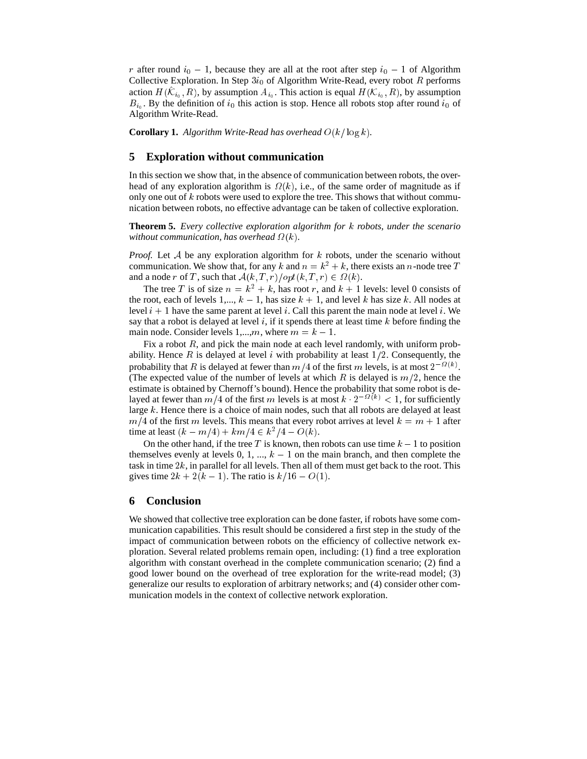r after round  $i_0 - 1$ , because they are all at the root after step  $i_0 - 1$  of Algorithm Collective Exploration. In Step  $3i<sub>0</sub>$  of Algorithm Write-Read, every robot R performs action  $H(\mathcal{K}_{i_0}, R)$ , by assumption  $A_{i_0}$ . This action is equal  $H(\mathcal{K}_{i_0}, R)$ , by assumption  $B_{i_0}$ . By the definition of  $i_0$  this action is stop. Hence all robots stop after round  $i_0$  of Algorithm Write-Read.

**Corollary 1.** *Algorithm Write-Read has overhead*  $O(k/\log k)$ *.* 

## **5 Exploration without communication**

In this section we show that, in the absence of communication between robots, the overhead of any exploration algorithm is  $\Omega(k)$ , i.e., of the same order of magnitude as if only one out of  $k$  robots were used to explore the tree. This shows that without communication between robots, no effective advantage can be taken of collective exploration.

**Theorem 5.** *Every collective exploration algorithm for* k *robots, under the scenario* without communication, has overhead  $\Omega(k)$ .

*Proof.* Let  $A$  be any exploration algorithm for  $k$  robots, under the scenario without communication. We show that, for any k and  $n = k^2 + k$ , there exists an n-node tree T and a node r of T, such that  $A(k, T, r)/opt(k, T, r) \in \Omega(k)$ .

The tree T is of size  $n = k^2 + k$ , has root r, and  $k + 1$  levels: level 0 consists of the root, each of levels 1,...,  $k - 1$ , has size  $k + 1$ , and level k has size k. All nodes at level  $i + 1$  have the same parent at level i. Call this parent the main node at level i. We say that a robot is delayed at level  $i$ , if it spends there at least time  $k$  before finding the main node. Consider levels  $1,...,m$ , where  $m = k - 1$ .

Fix a robot  $R$ , and pick the main node at each level randomly, with uniform probability. Hence R is delayed at level i with probability at least  $1/2$ . Consequently, the probability that R is delayed at fewer than  $m/4$  of the first m levels, is at most  $2^{-\Omega(k)}$ . (The expected value of the number of levels at which R is delayed is  $m/2$ , hence the estimate is obtained by Chernoff's bound). Hence the probability that some robot is delayed at fewer than  $m/4$  of the first m levels is at most  $k \cdot 2^{-\Omega(k)} < 1$ , for sufficiently large  $k$ . Hence there is a choice of main nodes, such that all robots are delayed at least  $m/4$  of the first m levels. This means that every robot arrives at level  $k = m + 1$  after time at least  $(k - m/4) + km/4 \in k^2/4 - O(k)$ .

On the other hand, if the tree T is known, then robots can use time  $k - 1$  to position themselves evenly at levels 0, 1, ...,  $k - 1$  on the main branch, and then complete the task in time  $2k$ , in parallel for all levels. Then all of them must get back to the root. This gives time  $2k + 2(k - 1)$ . The ratio is  $k/16 - O(1)$ .

#### **6 Conclusion**

We showed that collective tree exploration can be done faster, if robots have some communication capabilities. This result should be considered a first step in the study of the impact of communication between robots on the efficiency of collective network exploration. Several related problems remain open, including: (1) find a tree exploration algorithm with constant overhead in the complete communication scenario; (2) find a good lower bound on the overhead of tree exploration for the write-read model; (3) generalize our results to exploration of arbitrary networks; and (4) consider other communication models in the context of collective network exploration.